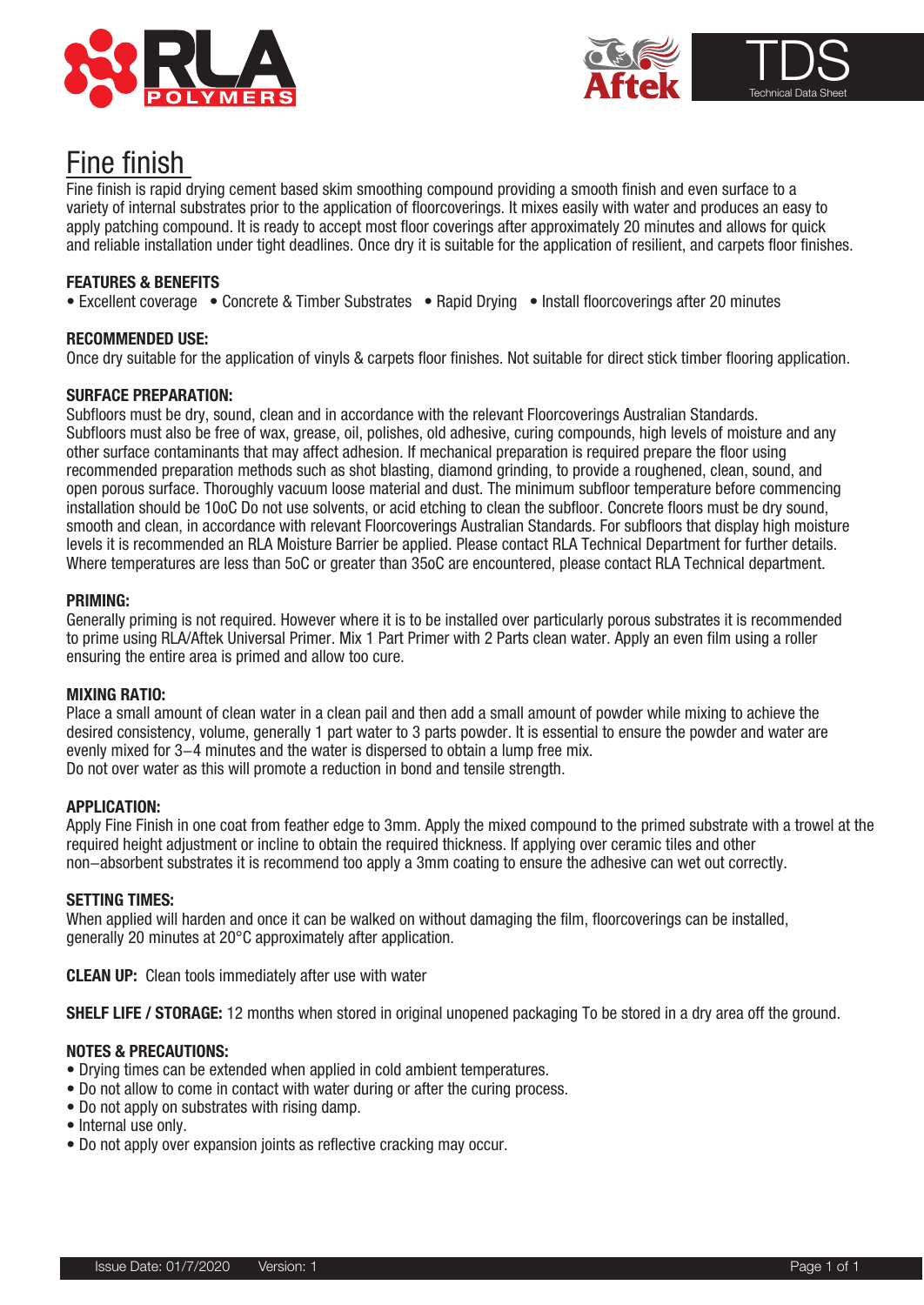



# Fine finish

and reliable installation under tight deadlines. Once dry it is suitable for the application of resilient, and carpets floor finishes.<br> Fine finish is rapid drying cement based skim smoothing compound providing a smooth finish and even surface to a variety of internal substrates prior to the application of floorcoverings. It mixes easily with water and produces an easy to apply patching compound. It is ready to accept most floor coverings after approximately 20 minutes and allows for quick

## **FEATURES & BENEFITS**

• Excellent coverage • Concrete & Timber Substrates • Rapid Drying • Install floorcoverings after 20 minutes

# **RECOMMENDED USE:**

Once dry suitable for the application of vinyls & carpets floor finishes. Not suitable for direct stick timber flooring application.

### **SURFACE PREPARATION:**

Subfloors must be dry, sound, clean and in accordance with the relevant Floorcoverings Australian Standards. Subfloors must also be free of wax, grease, oil, polishes, old adhesive, curing compounds, high levels of moisture and any other surface contaminants that may affect adhesion. If mechanical preparation is required prepare the floor using recommended preparation methods such as shot blasting, diamond grinding, to provide a roughened, clean, sound, and open porous surface. Thoroughly vacuum loose material and dust. The minimum subfloor temperature before commencing installation should be 10oC Do not use solvents, or acid etching to clean the subfloor. Concrete floors must be dry sound, smooth and clean, in accordance with relevant Floorcoverings Australian Standards. For subfloors that display high moisture levels it is recommended an RLA Moisture Barrier be applied. Please contact RLA Technical Department for further details. Where temperatures are less than 5oC or greater than 35oC are encountered, please contact RLA Technical department.

### **PRIMING:**

Generally priming is not required. However where it is to be installed over particularly porous substrates it is recommended to prime using RLA/Aftek Universal Primer. Mix 1 Part Primer with 2 Parts clean water. Apply an even film using a roller ensuring the entire area is primed and allow too cure.

### **MIXING RATIO:**

Place a small amount of clean water in a clean pail and then add a small amount of powder while mixing to achieve the desired consistency, volume, generally 1 part water to 3 parts powder. It is essential to ensure the powder and water are evenly mixed for 3-4 minutes and the water is dispersed to obtain a lump free mix. Do not over water as this will promote a reduction in bond and tensile strength.

### **APPLICATION:**

Apply Fine Finish in one coat from feather edge to 3mm. Apply the mixed compound to the primed substrate with a trowel at the required height adjustment or incline to obtain the required thickness. If applying over ceramic tiles and other non-absorbent substrates it is recommend too apply a 3mm coating to ensure the adhesive can wet out correctly.

### **SETTING TIMES:**

When applied will harden and once it can be walked on without damaging the film, floorcoverings can be installed, generally 20 minutes at 20°C approximately after application.

**CLEAN UP:** Clean tools immediately after use with water

**SHELF LIFE / STORAGE:** 12 months when stored in original unopened packaging To be stored in a dry area off the ground.

# **NOTES & PRECAUTIONS:**

- Drying times can be extended when applied in cold ambient temperatures.
- Do not allow to come in contact with water during or after the curing process.
- Do not apply on substrates with rising damp.
- Internal use only.
- Do not apply over expansion joints as reflective cracking may occur.